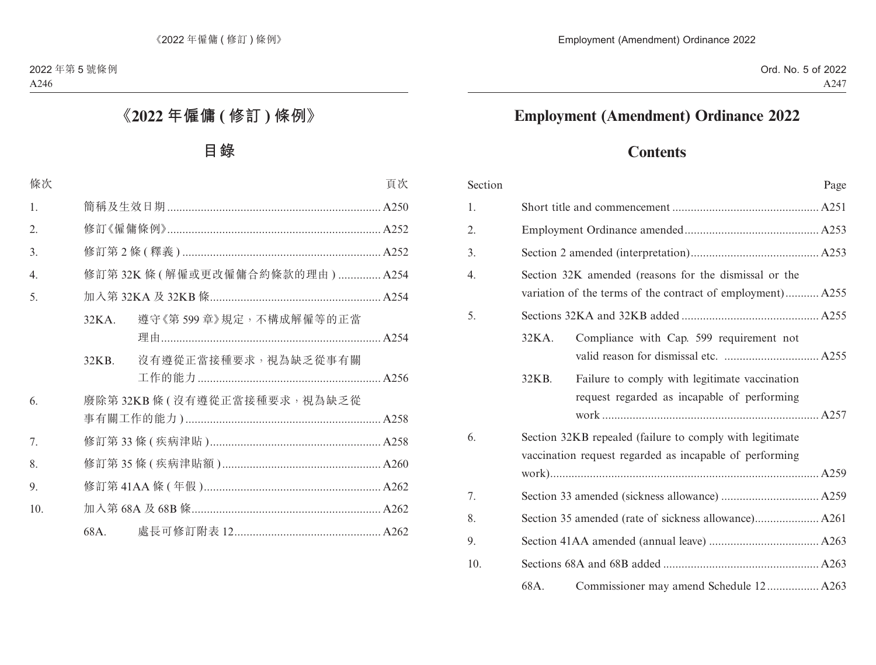# **Employment (Amendment) Ordinance 2022**

# **Contents**

| Section |       |                                                                                                                     | Page |
|---------|-------|---------------------------------------------------------------------------------------------------------------------|------|
| 1.      |       |                                                                                                                     |      |
| 2.      |       |                                                                                                                     |      |
| 3.      |       |                                                                                                                     |      |
| 4.      |       | Section 32K amended (reasons for the dismissal or the<br>variation of the terms of the contract of employment) A255 |      |
| 5.      |       |                                                                                                                     |      |
|         | 32KA. | Compliance with Cap. 599 requirement not                                                                            |      |
|         | 32KB. | Failure to comply with legitimate vaccination<br>request regarded as incapable of performing                        |      |
| 6.      |       | Section 32KB repealed (failure to comply with legitimate<br>vaccination request regarded as incapable of performing |      |
|         |       |                                                                                                                     |      |
| 7.      |       |                                                                                                                     |      |
| 8.      |       |                                                                                                                     |      |
| 9.      |       |                                                                                                                     |      |
| 10.     |       |                                                                                                                     |      |
|         | 68A.  | Commissioner may amend Schedule 12 A263                                                                             |      |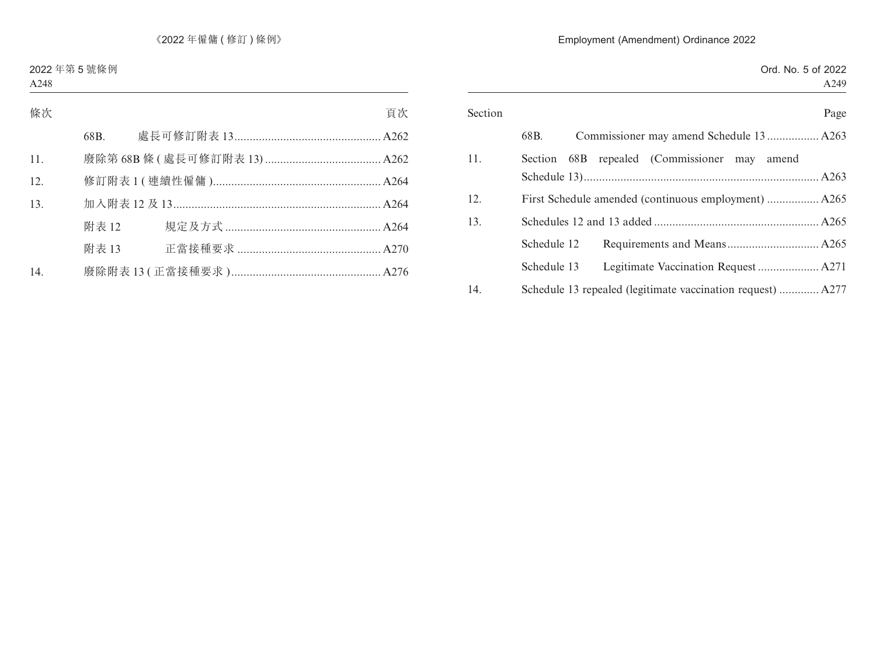|                | Ord. No. 5 of 2022                                          |
|----------------|-------------------------------------------------------------|
|                | A249                                                        |
| Section        | Page                                                        |
| 68B.           | Commissioner may amend Schedule 13 A263                     |
| 11.<br>Section | (Commissioner may amend<br>repealed<br>68B                  |
|                |                                                             |
| 12.            |                                                             |
| 13.            |                                                             |
| Schedule 12    |                                                             |
| Schedule 13    |                                                             |
| 14.            | Schedule 13 repealed (legitimate vaccination request)  A277 |
|                |                                                             |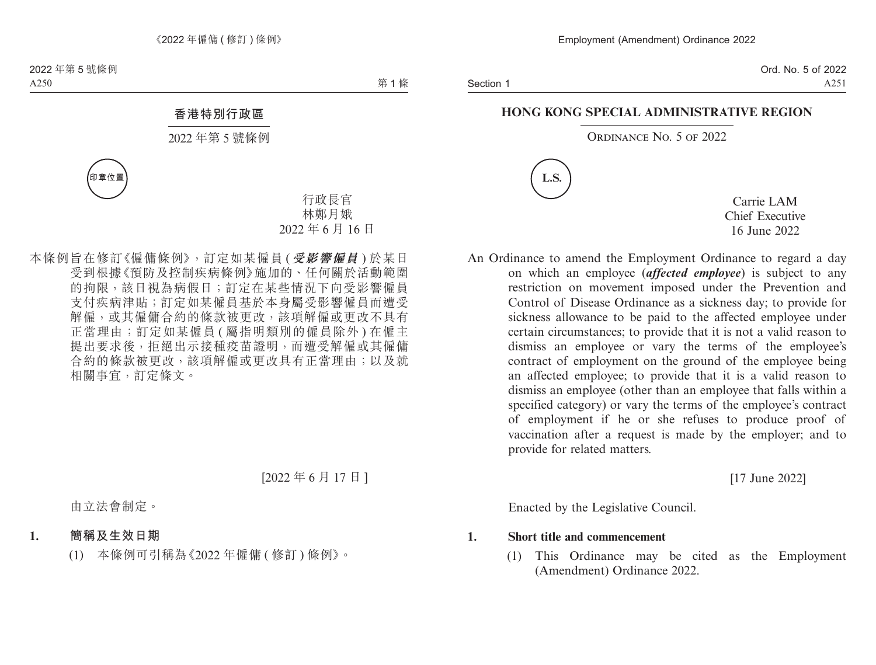Section 1

Ord. No. 5 of 2022 A251

#### **HONG KONG SPECIAL ADMINISTRATIVE REGION**

#### ORDINANCE No. 5 OF 2022



Carrie LAM Chief Executive 16 June 2022

An Ordinance to amend the Employment Ordinance to regard a day on which an employee (*affected employee*) is subject to any restriction on movement imposed under the Prevention and Control of Disease Ordinance as a sickness day; to provide for sickness allowance to be paid to the affected employee under certain circumstances; to provide that it is not a valid reason to dismiss an employee or vary the terms of the employee's contract of employment on the ground of the employee being an affected employee; to provide that it is a valid reason to dismiss an employee (other than an employee that falls within a specified category) or vary the terms of the employee's contract of employment if he or she refuses to produce proof of vaccination after a request is made by the employer; and to provide for related matters.

[17 June 2022]

Enacted by the Legislative Council.

**1. Short title and commencement**

(1) This Ordinance may be cited as the Employment (Amendment) Ordinance 2022.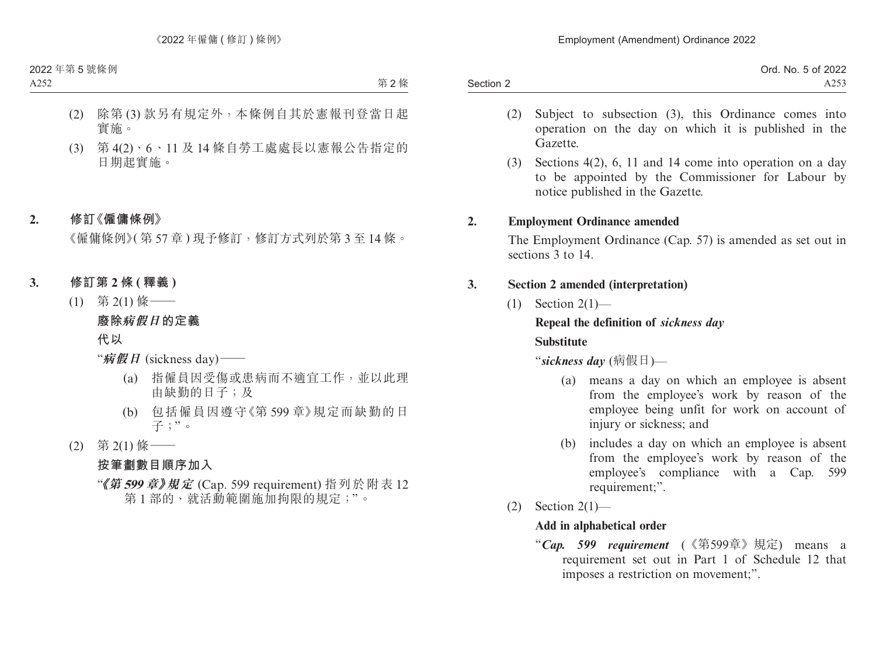|           | Ord. No. 5 of 2022 |
|-----------|--------------------|
| Section 2 | A253               |

- (2) Subject to subsection (3), this Ordinance comes into operation on the day on which it is published in the Gazette.
- (3) Sections 4(2), 6, 11 and 14 come into operation on a day to be appointed by the Commissioner for Labour by notice published in the Gazette.

#### **2. Employment Ordinance amended**

The Employment Ordinance (Cap. 57) is amended as set out in sections 3 to 14.

#### **3. Section 2 amended (interpretation)**

 $(1)$  Section 2(1)—

#### **Repeal the definition of** *sickness day*

#### **Substitute**

"*sickness day* (病假日)—

- (a) means a day on which an employee is absent from the employee's work by reason of the employee being unfit for work on account of injury or sickness; and
- (b) includes a day on which an employee is absent from the employee's work by reason of the employee's compliance with a Cap. 599 requirement;".
- $(2)$  Section  $2(1)$ —

#### **Add in alphabetical order**

"*Cap. 599 requirement* (《第599章》規定) means a requirement set out in Part 1 of Schedule 12 that imposes a restriction on movement;".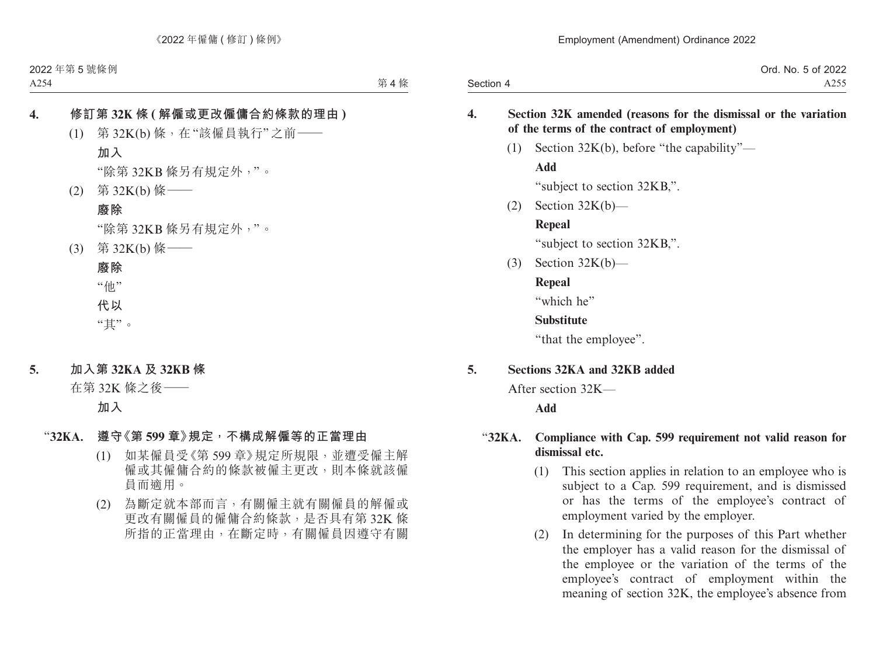|           | Ord. No. 5 of 2022 |
|-----------|--------------------|
| Section 4 | A255               |

#### **4. Section 32K amended (reasons for the dismissal or the variation of the terms of the contract of employment)**

(1) Section 32K(b), before "the capability"—

#### **Add**

"subject to section 32KB,".

 $(2)$  Section 32K $(b)$ —

#### **Repeal**

"subject to section 32KB,".

(3) Section 32K(b)—

#### **Repeal**

"which he"

#### **Substitute**

"that the employee".

#### **5. Sections 32KA and 32KB added**

After section 32K—

#### **Add**

#### "**32KA. Compliance with Cap. 599 requirement not valid reason for dismissal etc.**

- (1) This section applies in relation to an employee who is subject to a Cap. 599 requirement, and is dismissed or has the terms of the employee's contract of employment varied by the employer.
- (2) In determining for the purposes of this Part whether the employer has a valid reason for the dismissal of the employee or the variation of the terms of the employee's contract of employment within the meaning of section 32K, the employee's absence from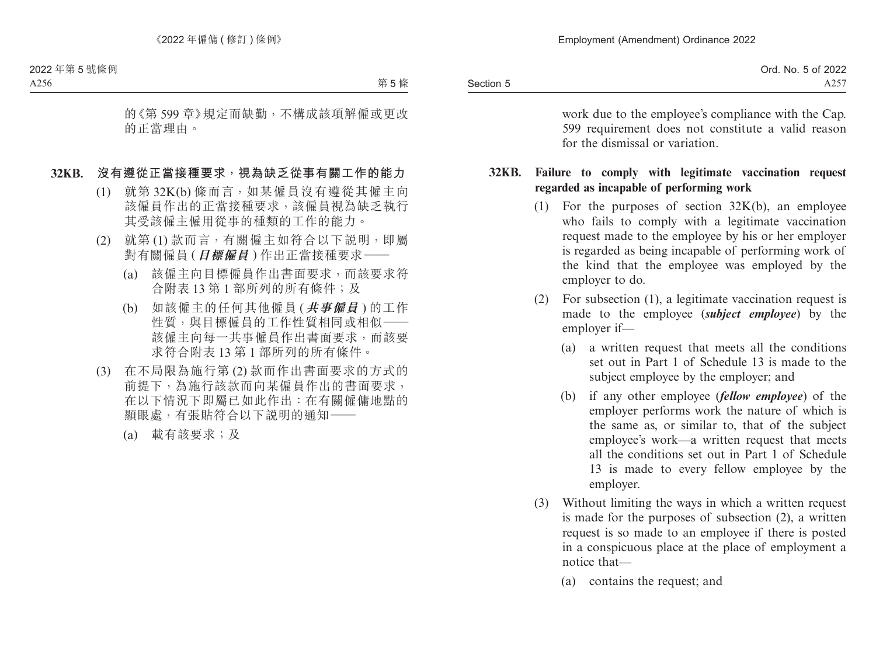|           | f 2022<br>$-$<br>Ord.<br>.5 of<br>No. |
|-----------|---------------------------------------|
| Section 5 | $\sim$ $\sim$ $\sim$<br>ر عد          |

work due to the employee's compliance with the Cap. 599 requirement does not constitute a valid reason for the dismissal or variation.

#### **32KB. Failure to comply with legitimate vaccination request regarded as incapable of performing work**

- (1) For the purposes of section 32K(b), an employee who fails to comply with a legitimate vaccination request made to the employee by his or her employer is regarded as being incapable of performing work of the kind that the employee was employed by the employer to do.
- (2) For subsection (1), a legitimate vaccination request is made to the employee (*subject employee*) by the employer if—
	- (a) a written request that meets all the conditions set out in Part 1 of Schedule 13 is made to the subject employee by the employer; and
	- (b) if any other employee (*fellow employee*) of the employer performs work the nature of which is the same as, or similar to, that of the subject employee's work—a written request that meets all the conditions set out in Part 1 of Schedule 13 is made to every fellow employee by the employer.
- (3) Without limiting the ways in which a written request is made for the purposes of subsection (2), a written request is so made to an employee if there is posted in a conspicuous place at the place of employment a notice that—
	- (a) contains the request; and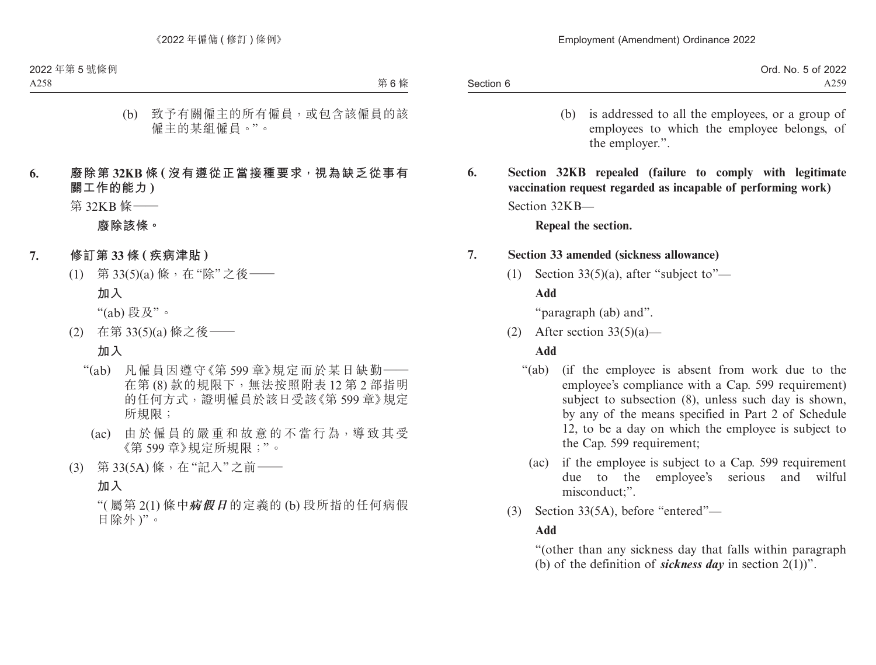- (b) is addressed to all the employees, or a group of employees to which the employee belongs, of the employer.".
- **6. Section 32KB repealed (failure to comply with legitimate vaccination request regarded as incapable of performing work)** Section 32KB—

**Repeal the section.**

#### **7. Section 33 amended (sickness allowance)**

(1) Section 33(5)(a), after "subject to"—

#### **Add**

"paragraph (ab) and".

(2) After section  $33(5)(a)$ —

#### **Add**

- "(ab) (if the employee is absent from work due to the employee's compliance with a Cap. 599 requirement) subject to subsection (8), unless such day is shown, by any of the means specified in Part 2 of Schedule 12, to be a day on which the employee is subject to the Cap. 599 requirement;
	- (ac) if the employee is subject to a Cap. 599 requirement due to the employee's serious and wilful misconduct;".
- (3) Section 33(5A), before "entered"—

### **Add**

"(other than any sickness day that falls within paragraph (b) of the definition of *sickness day* in section 2(1))".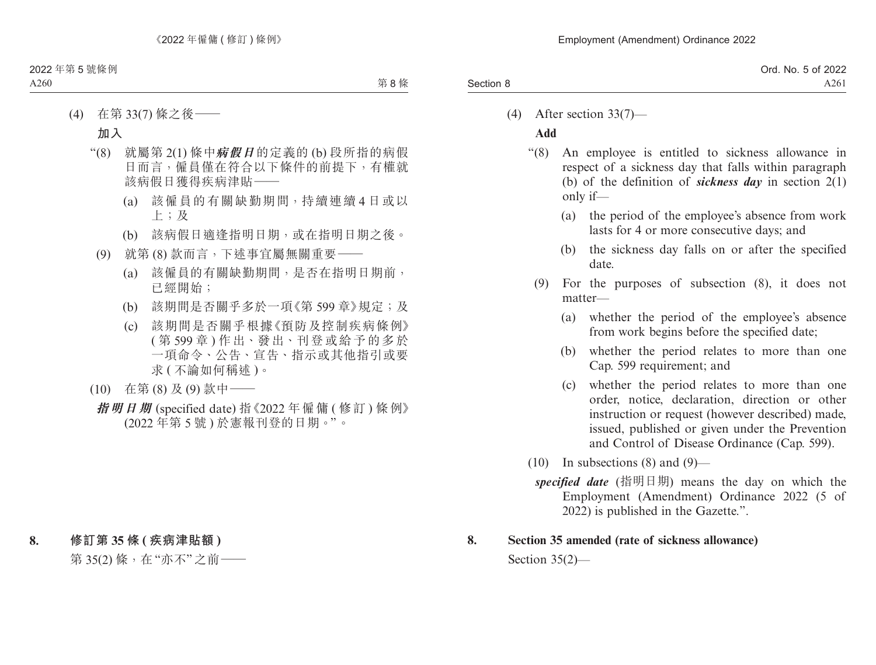|           | Ord. No. 5 of 2022 |
|-----------|--------------------|
| Section 8 | A261               |

(4) After section 33(7)—

### **Add**

- "(8) An employee is entitled to sickness allowance in respect of a sickness day that falls within paragraph (b) of the definition of *sickness day* in section 2(1) only if—
	- (a) the period of the employee's absence from work lasts for 4 or more consecutive days; and
	- (b) the sickness day falls on or after the specified date.
	- (9) For the purposes of subsection (8), it does not matter—
		- (a) whether the period of the employee's absence from work begins before the specified date;
		- (b) whether the period relates to more than one Cap. 599 requirement; and
		- (c) whether the period relates to more than one order, notice, declaration, direction or other instruction or request (however described) made, issued, published or given under the Prevention and Control of Disease Ordinance (Cap. 599).
- $(10)$  In subsections  $(8)$  and  $(9)$ 
	- *specified date* (指明日期) means the day on which the Employment (Amendment) Ordinance 2022 (5 of 2022) is published in the Gazette.".

### **8. Section 35 amended (rate of sickness allowance)**

Section 35(2)—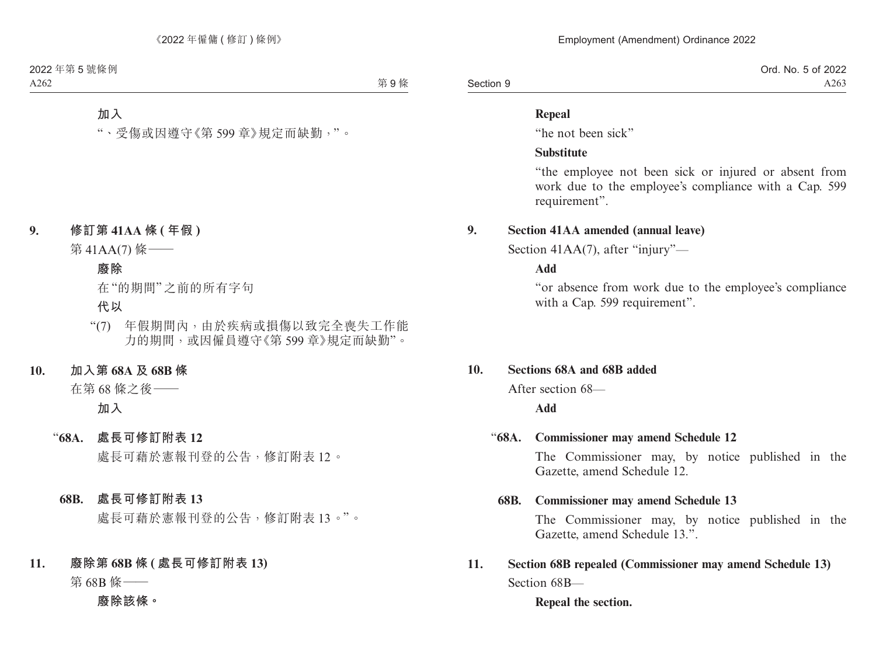|           | Ord. No. 5 of 2022 |
|-----------|--------------------|
| Section 9 | A263               |

#### **Repeal**

"he not been sick"

#### **Substitute**

"the employee not been sick or injured or absent from work due to the employee's compliance with a Cap. 599 requirement".

#### **9. Section 41AA amended (annual leave)**

Section 41AA(7), after "injury"—

**Add**

"or absence from work due to the employee's compliance with a Cap. 599 requirement".

#### **10. Sections 68A and 68B added**

After section 68—

#### **Add**

#### "**68A. Commissioner may amend Schedule 12**

The Commissioner may, by notice published in the Gazette, amend Schedule 12.

#### **68B. Commissioner may amend Schedule 13**

The Commissioner may, by notice published in the Gazette, amend Schedule 13.".

### **11. Section 68B repealed (Commissioner may amend Schedule 13)** Section 68B—

**Repeal the section.**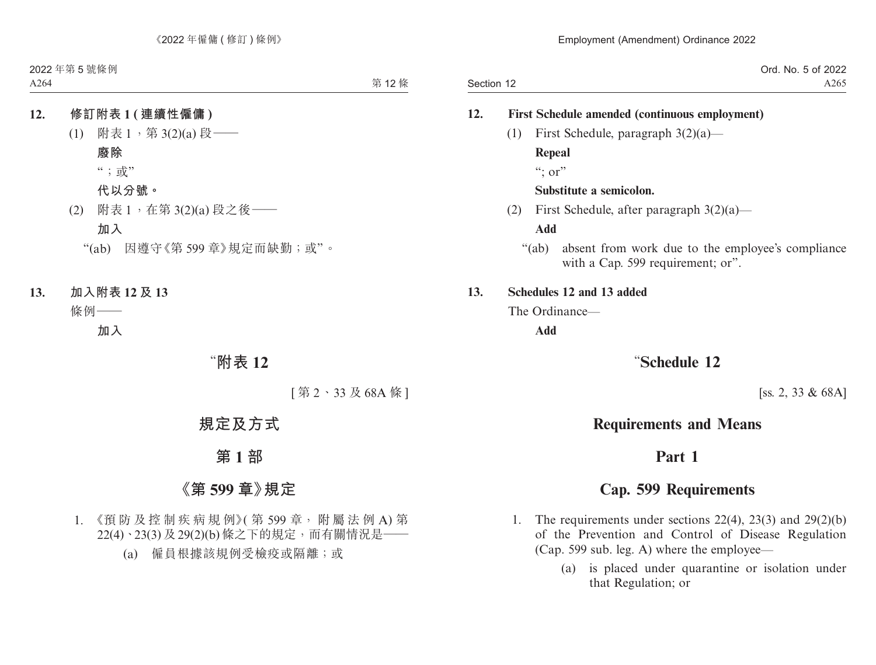Section 12 Ord. No. 5 of 2022 A265

#### **12. First Schedule amended (continuous employment)**

(1) First Schedule, paragraph 3(2)(a)— **Repeal**

 $\cdots$  or"

#### **Substitute a semicolon.**

(2) First Schedule, after paragraph 3(2)(a)—

**Add**

"(ab) absent from work due to the employee's compliance with a Cap. 599 requirement; or".

#### **13. Schedules 12 and 13 added**

The Ordinance—

**Add**

### "**Schedule 12**

[ss. 2, 33 & 68A]

### **Requirements and Means**

### **Part 1**

### **Cap. 599 Requirements**

- 1. The requirements under sections 22(4), 23(3) and 29(2)(b) of the Prevention and Control of Disease Regulation (Cap. 599 sub. leg. A) where the employee—
	- (a) is placed under quarantine or isolation under that Regulation; or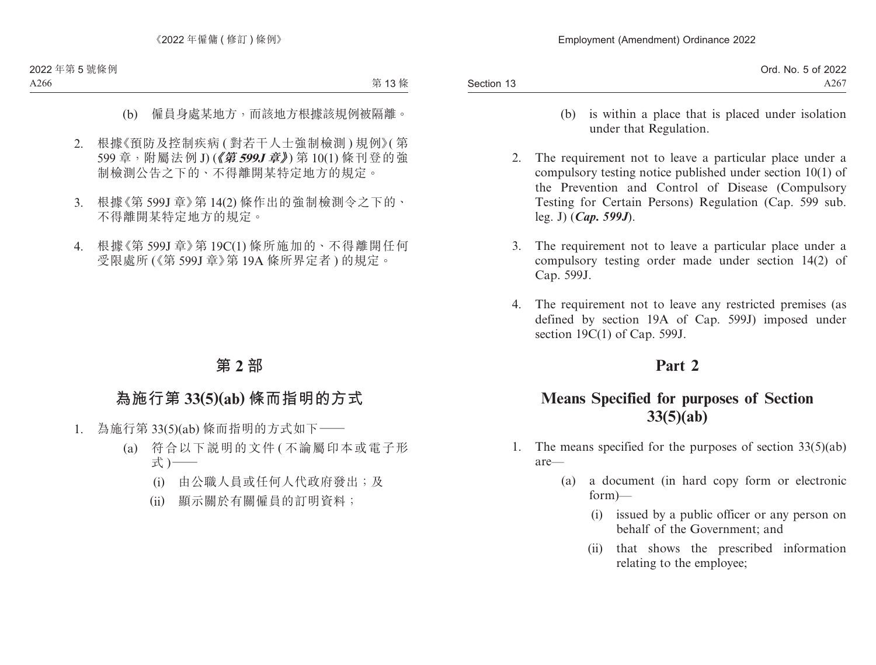|            | Ord. No. 5 of 2022 |
|------------|--------------------|
| Section 13 | A267               |

- (b) is within a place that is placed under isolation under that Regulation.
- 2. The requirement not to leave a particular place under a compulsory testing notice published under section 10(1) of the Prevention and Control of Disease (Compulsory Testing for Certain Persons) Regulation (Cap. 599 sub. leg. J) (*Cap. 599J*).
- 3. The requirement not to leave a particular place under a compulsory testing order made under section 14(2) of Cap. 599J.
- 4. The requirement not to leave any restricted premises (as defined by section 19A of Cap. 599J) imposed under section 19C(1) of Cap. 599J.

## **Part 2**

# **Means Specified for purposes of Section 33(5)(ab)**

- 1. The means specified for the purposes of section  $33(5)(ab)$ are—
	- (a) a document (in hard copy form or electronic form)—
		- (i) issued by a public officer or any person on behalf of the Government; and
		- (ii) that shows the prescribed information relating to the employee;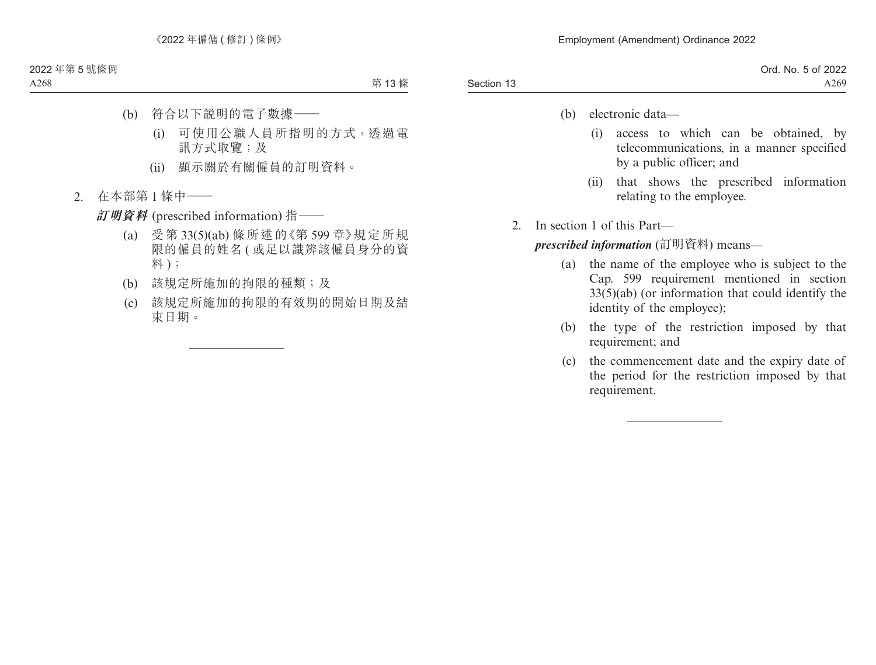- (b) electronic data—
	- (i) access to which can be obtained, by telecommunications, in a manner specified by a public officer; and
	- (ii) that shows the prescribed information relating to the employee.
- 2. In section 1 of this Part—

*prescribed information* (訂明資料) means—

- (a) the name of the employee who is subject to the Cap. 599 requirement mentioned in section 33(5)(ab) (or information that could identify the identity of the employee);
- (b) the type of the restriction imposed by that requirement; and
- (c) the commencement date and the expiry date of the period for the restriction imposed by that requirement.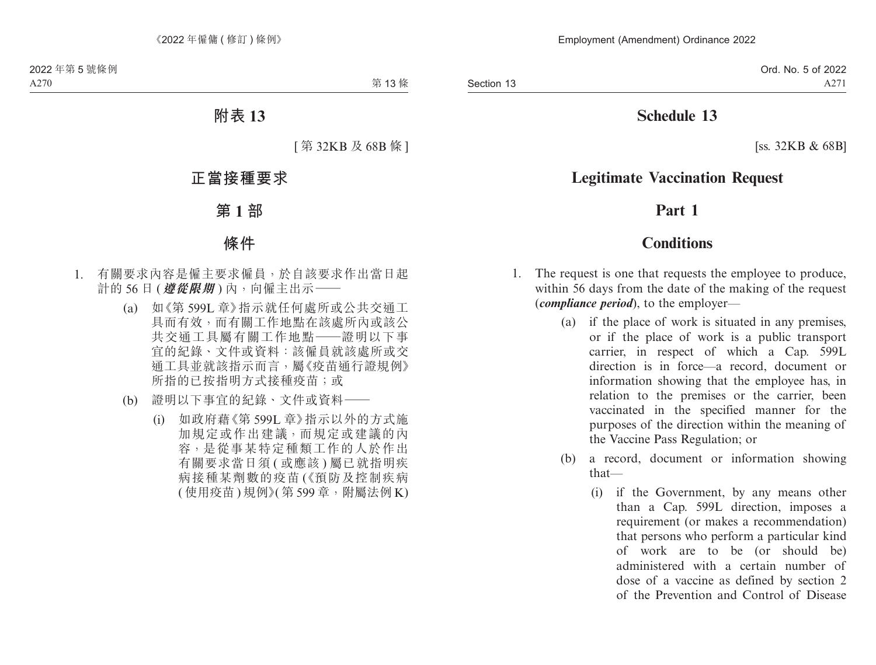# **Schedule 13**

[ss. 32KB & 68B]

# **Legitimate Vaccination Request**

## **Part 1**

## **Conditions**

- 1. The request is one that requests the employee to produce, within 56 days from the date of the making of the request (*compliance period*), to the employer—
	- (a) if the place of work is situated in any premises, or if the place of work is a public transport carrier, in respect of which a Cap. 599L direction is in force—a record, document or information showing that the employee has, in relation to the premises or the carrier, been vaccinated in the specified manner for the purposes of the direction within the meaning of the Vaccine Pass Regulation; or
	- (b) a record, document or information showing that—
		- (i) if the Government, by any means other than a Cap. 599L direction, imposes a requirement (or makes a recommendation) that persons who perform a particular kind of work are to be (or should be) administered with a certain number of dose of a vaccine as defined by section 2 of the Prevention and Control of Disease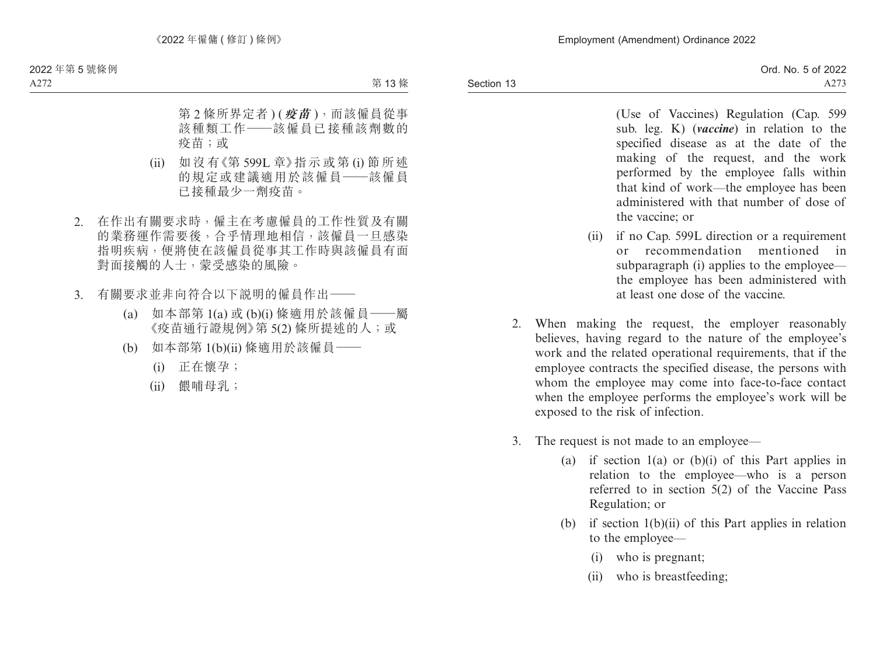(Use of Vaccines) Regulation (Cap. 599 sub. leg. K) (*vaccine*) in relation to the specified disease as at the date of the making of the request, and the work performed by the employee falls within that kind of work—the employee has been administered with that number of dose of the vaccine; or

- (ii) if no Cap. 599L direction or a requirement or recommendation mentioned in subparagraph (i) applies to the employee the employee has been administered with at least one dose of the vaccine.
- 2. When making the request, the employer reasonably believes, having regard to the nature of the employee's work and the related operational requirements, that if the employee contracts the specified disease, the persons with whom the employee may come into face-to-face contact when the employee performs the employee's work will be exposed to the risk of infection.
- 3. The request is not made to an employee—
	- (a) if section  $1(a)$  or  $(b)(i)$  of this Part applies in relation to the employee—who is a person referred to in section 5(2) of the Vaccine Pass Regulation; or
	- (b) if section  $1(b)(ii)$  of this Part applies in relation to the employee—
		- (i) who is pregnant;
		- (ii) who is breastfeeding;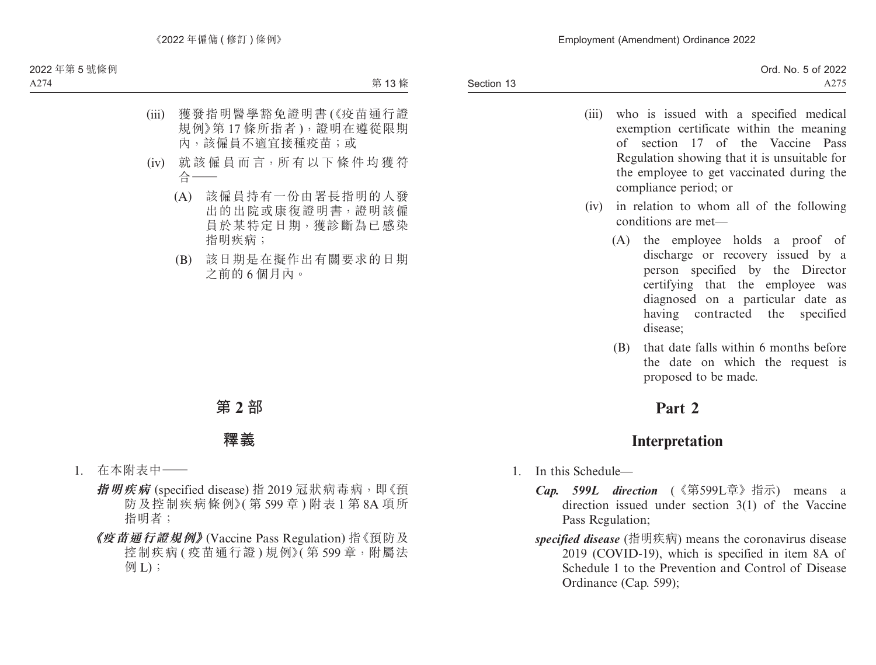- (iii) who is issued with a specified medical exemption certificate within the meaning of section 17 of the Vaccine Pass Regulation showing that it is unsuitable for the employee to get vaccinated during the compliance period; or
- (iv) in relation to whom all of the following conditions are met—
	- (A) the employee holds a proof of discharge or recovery issued by a person specified by the Director certifying that the employee was diagnosed on a particular date as having contracted the specified disease;
	- (B) that date falls within 6 months before the date on which the request is proposed to be made.

# **Part 2**

# **Interpretation**

- 1. In this Schedule—
	- *Cap. 599L direction* (《第599L章》指示) means a direction issued under section 3(1) of the Vaccine Pass Regulation;
	- *specified disease* (指明疾病) means the coronavirus disease 2019 (COVID-19), which is specified in item 8A of Schedule 1 to the Prevention and Control of Disease Ordinance (Cap. 599);